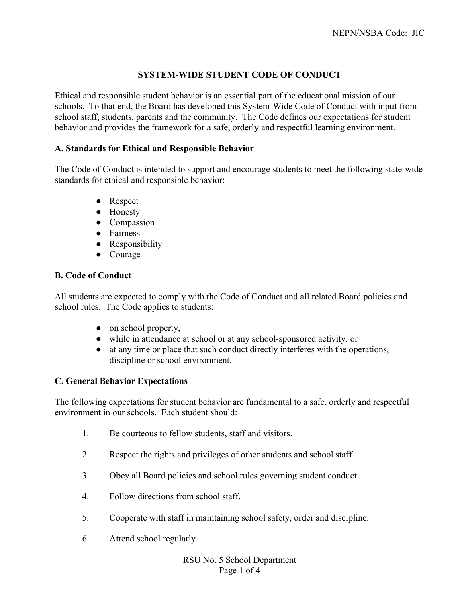## **SYSTEM-WIDE STUDENT CODE OF CONDUCT**

Ethical and responsible student behavior is an essential part of the educational mission of our schools. To that end, the Board has developed this System-Wide Code of Conduct with input from school staff, students, parents and the community. The Code defines our expectations for student behavior and provides the framework for a safe, orderly and respectful learning environment.

#### **A. Standards for Ethical and Responsible Behavior**

The Code of Conduct is intended to support and encourage students to meet the following state-wide standards for ethical and responsible behavior:

- Respect
- Honesty
- Compassion
- Fairness
- Responsibility
- Courage

## **B. Code of Conduct**

All students are expected to comply with the Code of Conduct and all related Board policies and school rules. The Code applies to students:

- on school property,
- while in attendance at school or at any school-sponsored activity, or
- at any time or place that such conduct directly interferes with the operations, discipline or school environment.

## **C. General Behavior Expectations**

The following expectations for student behavior are fundamental to a safe, orderly and respectful environment in our schools. Each student should:

- 1. Be courteous to fellow students, staff and visitors.
- 2. Respect the rights and privileges of other students and school staff.
- 3. Obey all Board policies and school rules governing student conduct.
- 4. Follow directions from school staff.
- 5. Cooperate with staff in maintaining school safety, order and discipline.
- 6. Attend school regularly.

RSU No. 5 School Department Page 1 of 4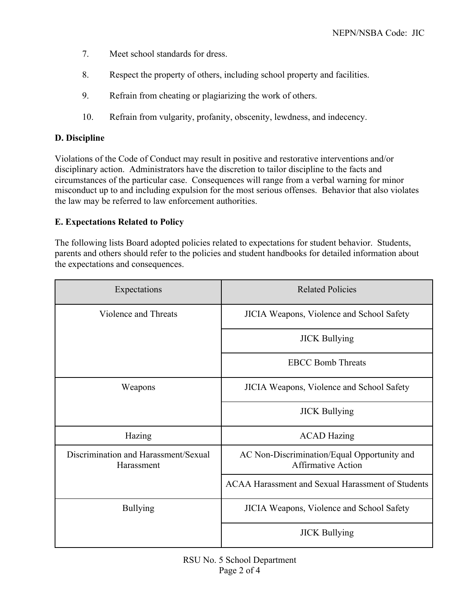- 7. Meet school standards for dress.
- 8. Respect the property of others, including school property and facilities.
- 9. Refrain from cheating or plagiarizing the work of others.
- 10. Refrain from vulgarity, profanity, obscenity, lewdness, and indecency.

# **D. Discipline**

Violations of the Code of Conduct may result in positive and restorative interventions and/or disciplinary action. Administrators have the discretion to tailor discipline to the facts and circumstances of the particular case. Consequences will range from a verbal warning for minor misconduct up to and including expulsion for the most serious offenses. Behavior that also violates the law may be referred to law enforcement authorities.

# **E. Expectations Related to Policy**

The following lists Board adopted policies related to expectations for student behavior. Students, parents and others should refer to the policies and student handbooks for detailed information about the expectations and consequences.

| Expectations                                       | <b>Related Policies</b>                                                  |
|----------------------------------------------------|--------------------------------------------------------------------------|
| Violence and Threats                               | JICIA Weapons, Violence and School Safety                                |
|                                                    | <b>JICK Bullying</b>                                                     |
|                                                    | <b>EBCC Bomb Threats</b>                                                 |
| Weapons                                            | JICIA Weapons, Violence and School Safety                                |
|                                                    | <b>JICK Bullying</b>                                                     |
| Hazing                                             | <b>ACAD Hazing</b>                                                       |
| Discrimination and Harassment/Sexual<br>Harassment | AC Non-Discrimination/Equal Opportunity and<br><b>Affirmative Action</b> |
|                                                    | ACAA Harassment and Sexual Harassment of Students                        |
| <b>Bullying</b>                                    | JICIA Weapons, Violence and School Safety                                |
|                                                    | <b>JICK Bullying</b>                                                     |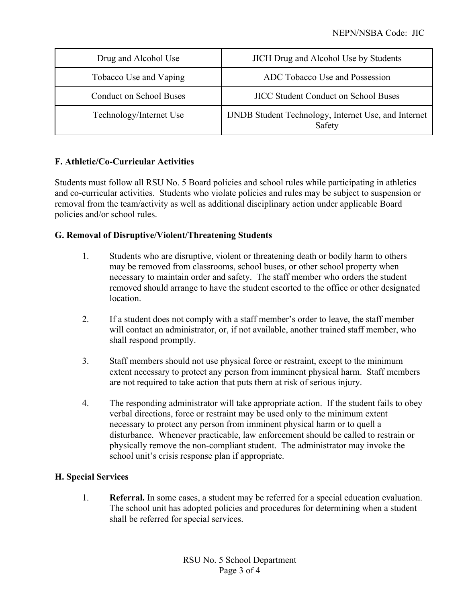| Drug and Alcohol Use           | <b>JICH Drug and Alcohol Use by Students</b>                          |
|--------------------------------|-----------------------------------------------------------------------|
| Tobacco Use and Vaping         | ADC Tobacco Use and Possession                                        |
| <b>Conduct on School Buses</b> | <b>JICC Student Conduct on School Buses</b>                           |
| Technology/Internet Use        | <b>IJNDB</b> Student Technology, Internet Use, and Internet<br>Safety |

## **F. Athletic/Co-Curricular Activities**

Students must follow all RSU No. 5 Board policies and school rules while participating in athletics and co-curricular activities. Students who violate policies and rules may be subject to suspension or removal from the team/activity as well as additional disciplinary action under applicable Board policies and/or school rules.

#### **G. Removal of Disruptive/Violent/Threatening Students**

- 1. Students who are disruptive, violent or threatening death or bodily harm to others may be removed from classrooms, school buses, or other school property when necessary to maintain order and safety. The staff member who orders the student removed should arrange to have the student escorted to the office or other designated location.
- 2. If a student does not comply with a staff member's order to leave, the staff member will contact an administrator, or, if not available, another trained staff member, who shall respond promptly.
- 3. Staff members should not use physical force or restraint, except to the minimum extent necessary to protect any person from imminent physical harm. Staff members are not required to take action that puts them at risk of serious injury.
- 4. The responding administrator will take appropriate action. If the student fails to obey verbal directions, force or restraint may be used only to the minimum extent necessary to protect any person from imminent physical harm or to quell a disturbance. Whenever practicable, law enforcement should be called to restrain or physically remove the non-compliant student. The administrator may invoke the school unit's crisis response plan if appropriate.

#### **H. Special Services**

1. **Referral.** In some cases, a student may be referred for a special education evaluation. The school unit has adopted policies and procedures for determining when a student shall be referred for special services.